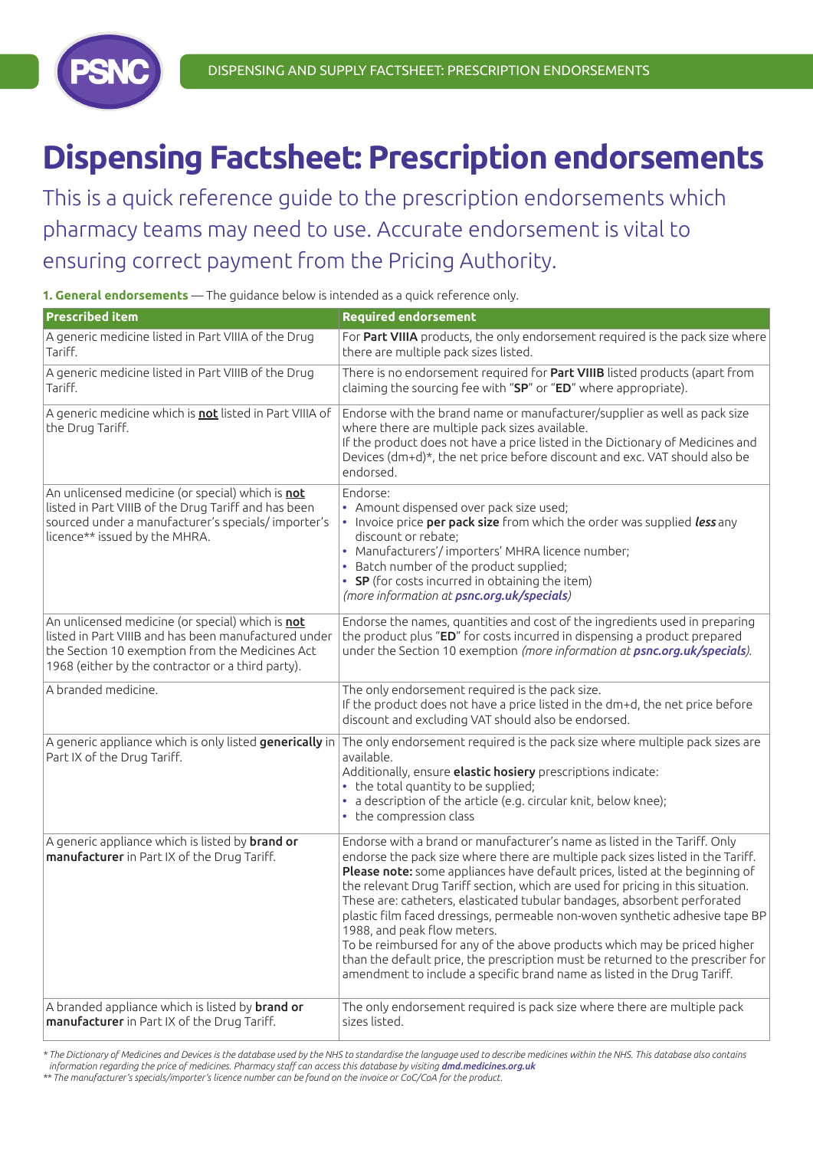

# **Dispensing Factsheet: Prescription endorsements**

This is a quick reference guide to the prescription endorsements which pharmacy teams may need to use. Accurate endorsement is vital to ensuring correct payment from the Pricing Authority.

**1. General endorsements** — The guidance below is intended as a quick reference only.

| <b>Prescribed item</b>                                                                                                                                                                                           | <b>Required endorsement</b>                                                                                                                                                                                                                                                                                                                                                                                                                                                                                                                                                                                                                                                                                                                                            |
|------------------------------------------------------------------------------------------------------------------------------------------------------------------------------------------------------------------|------------------------------------------------------------------------------------------------------------------------------------------------------------------------------------------------------------------------------------------------------------------------------------------------------------------------------------------------------------------------------------------------------------------------------------------------------------------------------------------------------------------------------------------------------------------------------------------------------------------------------------------------------------------------------------------------------------------------------------------------------------------------|
| A generic medicine listed in Part VIIIA of the Drug<br>Tariff.                                                                                                                                                   | For Part VIIIA products, the only endorsement required is the pack size where<br>there are multiple pack sizes listed.                                                                                                                                                                                                                                                                                                                                                                                                                                                                                                                                                                                                                                                 |
| A generic medicine listed in Part VIIIB of the Drug<br>Tariff.                                                                                                                                                   | There is no endorsement required for Part VIIIB listed products (apart from<br>claiming the sourcing fee with "SP" or "ED" where appropriate).                                                                                                                                                                                                                                                                                                                                                                                                                                                                                                                                                                                                                         |
| A generic medicine which is not listed in Part VIIIA of<br>the Drug Tariff.                                                                                                                                      | Endorse with the brand name or manufacturer/supplier as well as pack size<br>where there are multiple pack sizes available.<br>If the product does not have a price listed in the Dictionary of Medicines and<br>Devices (dm+d)*, the net price before discount and exc. VAT should also be<br>endorsed.                                                                                                                                                                                                                                                                                                                                                                                                                                                               |
| An unlicensed medicine (or special) which is not<br>listed in Part VIIIB of the Drug Tariff and has been<br>sourced under a manufacturer's specials/importer's<br>licence** issued by the MHRA.                  | Endorse:<br>• Amount dispensed over pack size used;<br>• Invoice price per pack size from which the order was supplied less any<br>discount or rebate;<br>• Manufacturers'/importers' MHRA licence number;<br>• Batch number of the product supplied;<br>• SP (for costs incurred in obtaining the item)<br>(more information at psnc.org.uk/specials)                                                                                                                                                                                                                                                                                                                                                                                                                 |
| An unlicensed medicine (or special) which is not<br>listed in Part VIIIB and has been manufactured under<br>the Section 10 exemption from the Medicines Act<br>1968 (either by the contractor or a third party). | Endorse the names, quantities and cost of the ingredients used in preparing<br>the product plus "ED" for costs incurred in dispensing a product prepared<br>under the Section 10 exemption (more information at psnc.org.uk/specials).                                                                                                                                                                                                                                                                                                                                                                                                                                                                                                                                 |
| A branded medicine.                                                                                                                                                                                              | The only endorsement required is the pack size.<br>If the product does not have a price listed in the dm+d, the net price before<br>discount and excluding VAT should also be endorsed.                                                                                                                                                                                                                                                                                                                                                                                                                                                                                                                                                                                |
| A generic appliance which is only listed generically in<br>Part IX of the Drug Tariff.                                                                                                                           | The only endorsement required is the pack size where multiple pack sizes are<br>available.<br>Additionally, ensure elastic hosiery prescriptions indicate:<br>• the total quantity to be supplied;<br>• a description of the article (e.g. circular knit, below knee);<br>• the compression class                                                                                                                                                                                                                                                                                                                                                                                                                                                                      |
| A generic appliance which is listed by <b>brand or</b><br>manufacturer in Part IX of the Drug Tariff.                                                                                                            | Endorse with a brand or manufacturer's name as listed in the Tariff. Only<br>endorse the pack size where there are multiple pack sizes listed in the Tariff.<br>Please note: some appliances have default prices, listed at the beginning of<br>the relevant Drug Tariff section, which are used for pricing in this situation.<br>These are: catheters, elasticated tubular bandages, absorbent perforated<br>plastic film faced dressings, permeable non-woven synthetic adhesive tape BP<br>1988, and peak flow meters.<br>To be reimbursed for any of the above products which may be priced higher<br>than the default price, the prescription must be returned to the prescriber for<br>amendment to include a specific brand name as listed in the Drug Tariff. |
| A branded appliance which is listed by <b>brand or</b><br>manufacturer in Part IX of the Drug Tariff.                                                                                                            | The only endorsement required is pack size where there are multiple pack<br>sizes listed.                                                                                                                                                                                                                                                                                                                                                                                                                                                                                                                                                                                                                                                                              |

\* The Dictionary of Medicines and Devices is the database used by the NHS to standardise the language used to describe medicines within the NHS. This database also contains *information regarding the price of medicines. Pharmacy staff can access this database by visiting dmd.medicines.org.uk*

\*\* The manufacturer's specials/importer's licence number can be found on the invoice or CoC/CoA for the product.